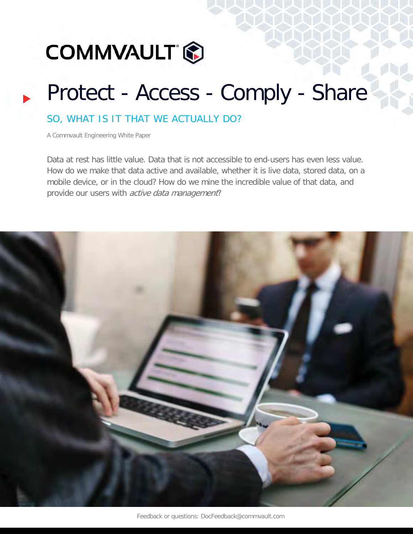

## Protect - Access - Comply - Share

## SO, WHAT IS IT THAT WE ACTUALLY DO?

A Commvault Engineering White Paper

Data at rest has little value. Data that is not accessible to end-users has even less value. How do we make that data active and available, whether it is live data, stored data, on a mobile device, or in the cloud? How do we mine the incredible value of that data, and provide our users with *active data management*?

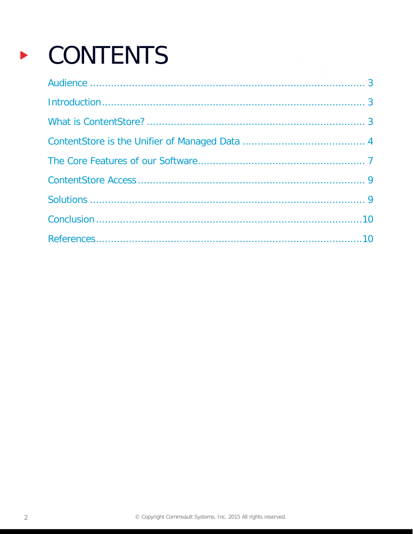# CONTENTS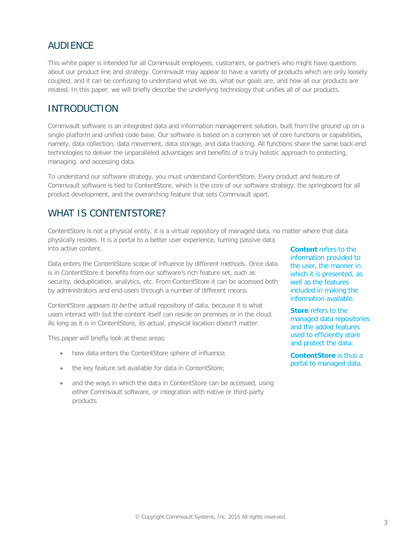## AUDIENCE

This white paper is intended for all Commvault employees, customers, or partners who might have questions about our product line and strategy. Commvault may appear to have a variety of products which are only loosely coupled, and it can be confusing to understand what we do, what our goals are, and how all our products are related. In this paper, we will briefly describe the underlying technology that unifies all of our products.

## INTRODUCTION

Commvault software is an integrated data and information management solution, built from the ground up on a single platform and unified code base. Our software is based on a common set of core functions or capabilities, namely, data collection, data movement, data storage, and data tracking. All functions share the same back-end technologies to deliver the unparalleled advantages and benefits of a truly holistic approach to protecting, managing, and accessing data.

To understand our software strategy, you must understand ContentStore. Every product and feature of Commvault software is tied to ContentStore, which is the core of our software strategy, the springboard for all product development, and the overarching feature that sets Commvault apart.

## WHAT IS CONTENTSTORE?

ContentStore is not a physical entity, it is a virtual repository of managed data, no matter where that data physically resides. It is a portal to a better user experience, turning passive data into active content.

Data enters the ContentStore scope of influence by different methods. Once data is in ContentStore it benefits from our software's rich feature set, such as security, deduplication, analytics, etc. From ContentStore it can be accessed both by administrators and end-users through a number of different means.

ContentStore *appears to be* the actual repository of data, because it is what users interact with but the content itself can reside on premises or in the cloud. As long as it is in ContentStore, its actual, physical location doesn't matter.

This paper will briefly look at these areas:

- how data enters the ContentStore sphere of influence;
- the key feature set available for data in ContentStore;
- and the ways in which the data in ContentStore can be accessed, using either Commvault software, or integration with native or third-party products

**Content** refers to the information provided to the user, the manner in which it is presented, as well as the features included in making the information available.

**Store** refers to the managed data repositories and the added features used to efficiently store and protect the data.

**ContentStore** is thus a portal to managed data.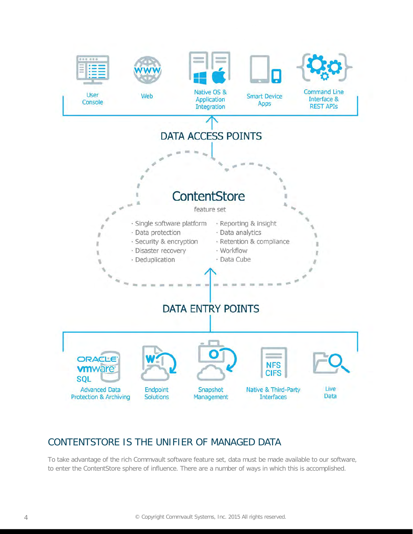

## CONTENTSTORE IS THE UNIFIER OF MANAGED DATA

To take advantage of the rich Commvault software feature set, data must be made available to our software, to enter the ContentStore sphere of influence. There are a number of ways in which this is accomplished.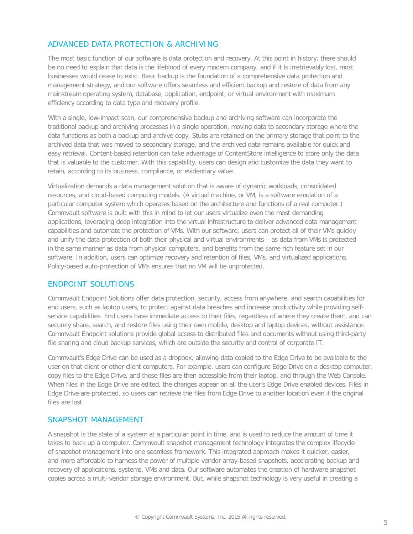#### ADVANCED DATA PROTECTION & ARCHIVING

The most basic function of our software is data protection and recovery. At this point in history, there should be no need to explain that data is the lifeblood of every modern company, and if it is irretrievably lost, most businesses would cease to exist. Basic backup is the foundation of a comprehensive data protection and management strategy, and our software offers seamless and efficient backup and restore of data from any mainstream operating system, database, application, endpoint, or virtual environment with maximum efficiency according to data type and recovery profile.

With a single, low-impact scan, our comprehensive backup and archiving software can incorporate the traditional backup and archiving processes in a single operation, moving data to secondary storage where the data functions as both a backup and archive copy. Stubs are retained on the primary storage that point to the archived data that was moved to secondary storage, and the archived data remains available for quick and easy retrieval. Content-based retention can take advantage of ContentStore intelligence to store only the data that is valuable to the customer. With this capability, users can design and customize the data they want to retain, according to its business, compliance, or evidentiary value.

Virtualization demands a data management solution that is aware of dynamic workloads, consolidated resources, and cloud-based computing models. (A virtual machine, or VM, is a software emulation of a particular computer system which operates based on the architecture and functions of a real computer.) Commvault software is built with this in mind to let our users virtualize even the most demanding applications, leveraging deep integration into the virtual infrastructure to deliver advanced data management capabilities and automate the protection of VMs. With our software, users can protect all of their VMs quickly and unify the data protection of both their physical and virtual environments – as data from VMs is protected in the same manner as data from physical computers, and benefits from the same rich feature set in our software. In addition, users can optimize recovery and retention of files, VMs, and virtualized applications. Policy-based auto-protection of VMs ensures that no VM will be unprotected.

#### ENDPOINT SOLUTIONS

Commvault Endpoint Solutions offer data protection, security, access from anywhere, and search capabilities for end users, such as laptop users, to protect against data breaches and increase productivity while providing selfservice capabilities. End users have immediate access to their files, regardless of where they create them, and can securely share, search, and restore files using their own mobile, desktop and laptop devices, without assistance. Commvault Endpoint solutions provide global access to distributed files and documents without using third-party file sharing and cloud backup services, which are outside the security and control of corporate IT.

Commvault's Edge Drive can be used as a dropbox, allowing data copied to the Edge Drive to be available to the user on that client or other client computers. For example, users can configure Edge Drive on a desktop computer, copy files to the Edge Drive, and those files are then accessible from their laptop, and through the Web Console. When files in the Edge Drive are edited, the changes appear on all the user's Edge Drive enabled devices. Files in Edge Drive are protected, so users can retrieve the files from Edge Drive to another location even if the original files are lost.

#### SNAPSHOT MANAGEMENT

A snapshot is the state of a system at a particular point in time, and is used to reduce the amount of time it takes to back up a computer. Commvault snapshot management technology integrates the complex lifecycle of snapshot management into one seamless framework. This integrated approach makes it quicker, easier, and more affordable to harness the power of multiple vendor array-based snapshots, accelerating backup and recovery of applications, systems, VMs and data. Our software automates the creation of hardware snapshot copies across a multi-vendor storage environment. But, while snapshot technology is very useful in creating a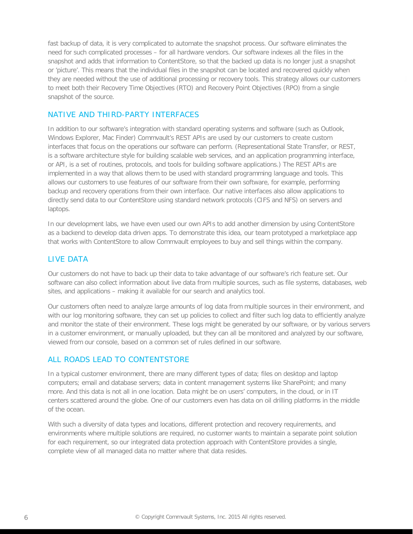fast backup of data, it is very complicated to automate the snapshot process. Our software eliminates the need for such complicated processes – for all hardware vendors. Our software indexes all the files in the snapshot and adds that information to ContentStore, so that the backed up data is no longer just a snapshot or 'picture'. This means that the individual files in the snapshot can be located and recovered quickly when they are needed without the use of additional processing or recovery tools. This strategy allows our customers to meet both their Recovery Time Objectives (RTO) and Recovery Point Objectives (RPO) from a single snapshot of the source.

#### NATIVE AND THIRD-PARTY INTERFACES

In addition to our software's integration with standard operating systems and software (such as Outlook, Windows Explorer, Mac Finder) Commvault's REST APIs are used by our customers to create custom interfaces that focus on the operations our software can perform. (Representational State Transfer, or REST, is a software architecture style for building scalable web services, and an application programming interface, or API, is a set of routines, protocols, and tools for building software applications.) The REST APIs are implemented in a way that allows them to be used with standard programming language and tools. This allows our customers to use features of our software from their own software, for example, performing backup and recovery operations from their own interface. Our native interfaces also allow applications to directly send data to our ContentStore using standard network protocols (CIFS and NFS) on servers and laptops.

In our development labs, we have even used our own APIs to add another dimension by using ContentStore as a backend to develop data driven apps. To demonstrate this idea, our team prototyped a marketplace app that works with ContentStore to allow Commvault employees to buy and sell things within the company.

#### LIVE DATA

Our customers do not have to back up their data to take advantage of our software's rich feature set. Our software can also collect information about live data from multiple sources, such as file systems, databases, web sites, and applications – making it available for our search and analytics tool.

Our customers often need to analyze large amounts of log data from multiple sources in their environment, and with our log monitoring software, they can set up policies to collect and filter such log data to efficiently analyze and monitor the state of their environment. These logs might be generated by our software, or by various servers in a customer environment, or manually uploaded, but they can all be monitored and analyzed by our software, viewed from our console, based on a common set of rules defined in our software.

#### ALL ROADS LEAD TO CONTENTSTORE

In a typical customer environment, there are many different types of data; files on desktop and laptop computers; email and database servers; data in content management systems like SharePoint; and many more. And this data is not all in one location. Data might be on users' computers, in the cloud, or in IT centers scattered around the globe. One of our customers even has data on oil drilling platforms in the middle of the ocean.

With such a diversity of data types and locations, different protection and recovery requirements, and environments where multiple solutions are required, no customer wants to maintain a separate point solution for each requirement, so our integrated data protection approach with ContentStore provides a single, complete view of all managed data no matter where that data resides.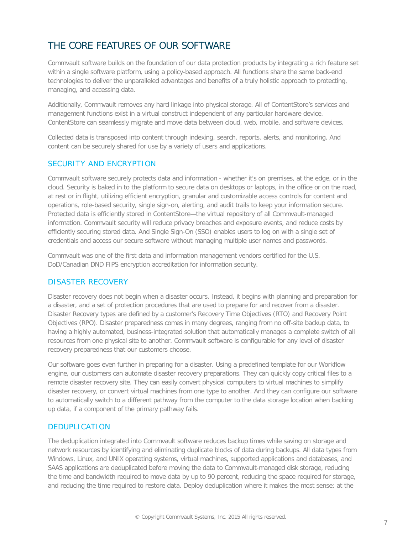## THE CORE FEATURES OF OUR SOFTWARE

Commvault software builds on the foundation of our data protection products by integrating a rich feature set within a single software platform, using a policy-based approach. All functions share the same back-end technologies to deliver the unparalleled advantages and benefits of a truly holistic approach to protecting, managing, and accessing data.

Additionally, Commvault removes any hard linkage into physical storage. All of ContentStore's services and management functions exist in a virtual construct independent of any particular hardware device. ContentStore can seamlessly migrate and move data between cloud, web, mobile, and software devices.

Collected data is transposed into content through indexing, search, reports, alerts, and monitoring. And content can be securely shared for use by a variety of users and applications.

#### SECURITY AND ENCRYPTION

Commvault software securely protects data and information - whether it's on premises, at the edge, or in the cloud. Security is baked in to the platform to secure data on desktops or laptops, in the office or on the road, at rest or in flight, utilizing efficient encryption, granular and customizable access controls for content and operations, role-based security, single sign-on, alerting, and audit trails to keep your information secure. Protected data is efficiently stored in ContentStore—the virtual repository of all Commvault-managed information. Commvault security will reduce privacy breaches and exposure events, and reduce costs by efficiently securing stored data. And Single Sign-On (SSO) enables users to log on with a single set of credentials and access our secure software without managing multiple user names and passwords.

Commvault was one of the first data and information management vendors certified for the U.S. DoD/Canadian DND FIPS encryption accreditation for information security.

#### DISASTER RECOVERY

Disaster recovery does not begin when a disaster occurs. Instead, it begins with planning and preparation for a disaster, and a set of protection procedures that are used to prepare for and recover from a disaster. Disaster Recovery types are defined by a customer's Recovery Time Objectives (RTO) and Recovery Point Objectives (RPO). Disaster preparedness comes in many degrees, ranging from no off-site backup data, to having a highly automated, business-integrated solution that automatically manages a complete switch of all resources from one physical site to another. Commvault software is configurable for any level of disaster recovery preparedness that our customers choose.

Our software goes even further in preparing for a disaster. Using a predefined template for our Workflow engine, our customers can automate disaster recovery preparations. They can quickly copy critical files to a remote disaster recovery site. They can easily convert physical computers to virtual machines to simplify disaster recovery, or convert virtual machines from one type to another. And they can configure our software to automatically switch to a different pathway from the computer to the data storage location when backing up data, if a component of the primary pathway fails.

#### DEDUPLICATION

The deduplication integrated into Commvault software reduces backup times while saving on storage and network resources by identifying and eliminating duplicate blocks of data during backups. All data types from Windows, Linux, and UNIX operating systems, virtual machines, supported applications and databases, and SAAS applications are deduplicated before moving the data to Commvault-managed disk storage, reducing the time and bandwidth required to move data by up to 90 percent, reducing the space required for storage, and reducing the time required to restore data. Deploy deduplication where it makes the most sense: at the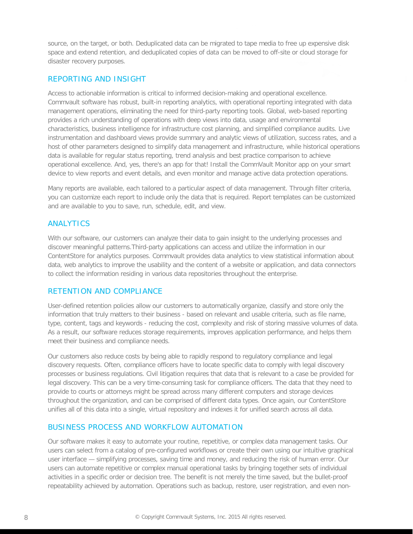source, on the target, or both. Deduplicated data can be migrated to tape media to free up expensive disk space and extend retention, and deduplicated copies of data can be moved to off-site or cloud storage for disaster recovery purposes.

#### REPORTING AND INSIGHT

Access to actionable information is critical to informed decision-making and operational excellence. Commvault software has robust, built-in reporting analytics, with operational reporting integrated with data management operations, eliminating the need for third-party reporting tools. Global, web-based reporting provides a rich understanding of operations with deep views into data, usage and environmental characteristics, business intelligence for infrastructure cost planning, and simplified compliance audits. Live instrumentation and dashboard views provide summary and analytic views of utilization, success rates, and a host of other parameters designed to simplify data management and infrastructure, while historical operations data is available for regular status reporting, trend analysis and best practice comparison to achieve operational excellence. And, yes, there's an app for that! Install the CommVault Monitor app on your smart device to view reports and event details, and even monitor and manage active data protection operations.

Many reports are available, each tailored to a particular aspect of data management. Through filter criteria, you can customize each report to include only the data that is required. Report templates can be customized and are available to you to save, run, schedule, edit, and view.

#### ANALYTICS

With our software, our customers can analyze their data to gain insight to the underlying processes and discover meaningful patterns.Third-party applications can access and utilize the information in our ContentStore for analytics purposes. Commvault provides data analytics to view statistical information about data, web analytics to improve the usability and the content of a website or application, and data connectors to collect the information residing in various data repositories throughout the enterprise.

#### RETENTION AND COMPLIANCE

User-defined retention policies allow our customers to automatically organize, classify and store only the information that truly matters to their business - based on relevant and usable criteria, such as file name, type, content, tags and keywords - reducing the cost, complexity and risk of storing massive volumes of data. As a result, our software reduces storage requirements, improves application performance, and helps them meet their business and compliance needs.

Our customers also reduce costs by being able to rapidly respond to regulatory compliance and legal discovery requests. Often, compliance officers have to locate specific data to comply with legal discovery processes or business regulations. Civil litigation requires that data that is relevant to a case be provided for legal discovery. This can be a very time-consuming task for compliance officers. The data that they need to provide to courts or attorneys might be spread across many different computers and storage devices throughout the organization, and can be comprised of different data types. Once again, our ContentStore unifies all of this data into a single, virtual repository and indexes it for unified search across all data.

#### BUSINESS PROCESS AND WORKFLOW AUTOMATION

Our software makes it easy to automate your routine, repetitive, or complex data management tasks. Our users can select from a catalog of pre-configured workflows or create their own using our intuitive graphical user interface — simplifying processes, saving time and money, and reducing the risk of human error. Our users can automate repetitive or complex manual operational tasks by bringing together sets of individual activities in a specific order or decision tree. The benefit is not merely the time saved, but the bullet-proof repeatability achieved by automation. Operations such as backup, restore, user registration, and even non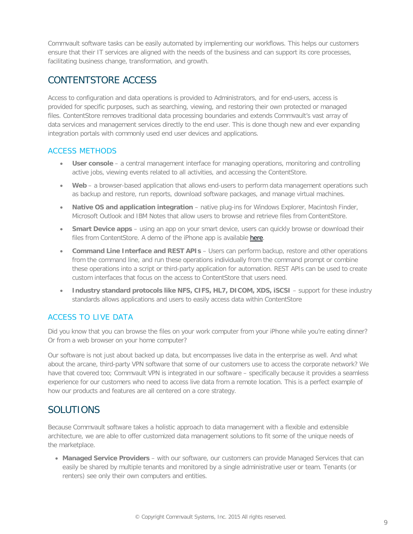Commvault software tasks can be easily automated by implementing our workflows. This helps our customers ensure that their IT services are aligned with the needs of the business and can support its core processes, facilitating business change, transformation, and growth.

## CONTENTSTORE ACCESS

Access to configuration and data operations is provided to Administrators, and for end-users, access is provided for specific purposes, such as searching, viewing, and restoring their own protected or managed files. ContentStore removes traditional data processing boundaries and extends Commvault's vast array of data services and management services directly to the end user. This is done though new and ever expanding integration portals with commonly used end user devices and applications.

#### ACCESS METHODS

- **User console** a central management interface for managing operations, monitoring and controlling active jobs, viewing events related to all activities, and accessing the ContentStore.
- **Web**  a browser-based application that allows end-users to perform data management operations such as backup and restore, run reports, download software packages, and manage virtual machines.
- **Native OS and application integration** native plug-ins for Windows Explorer, Macintosh Finder, Microsoft Outlook and IBM Notes that allow users to browse and retrieve files from ContentStore.
- **Smart Device apps** using an app on your smart device, users can quickly browse or download their files from ContentStore. A demo of the iPhone app is available [here.](http://training.commvault.com/testarea/EdgeMobile/story.html)
- **Command Line Interface and REST APIs** Users can perform backup, restore and other operations from the command line, and run these operations individually from the command prompt or combine these operations into a script or third-party application for automation. REST APIs can be used to create custom interfaces that focus on the access to ContentStore that users need.
- **Industry standard protocols like NFS, CIFS, HL7, DICOM, XDS, iSCSI** support for these industry standards allows applications and users to easily access data within ContentStore

#### ACCESS TO LIVE DATA

Did you know that you can browse the files on your work computer from your iPhone while you're eating dinner? Or from a web browser on your home computer?

Our software is not just about backed up data, but encompasses live data in the enterprise as well. And what about the arcane, third-party VPN software that some of our customers use to access the corporate network? We have that covered too; Commvault VPN is integrated in our software – specifically because it provides a seamless experience for our customers who need to access live data from a remote location. This is a perfect example of how our products and features are all centered on a core strategy.

### SOLUTIONS

Because Commvault software takes a holistic approach to data management with a flexible and extensible architecture, we are able to offer customized data management solutions to fit some of the unique needs of the marketplace.

• **Managed Service Providers** – with our software, our customers can provide Managed Services that can easily be shared by multiple tenants and monitored by a single administrative user or team. Tenants (or renters) see only their own computers and entities.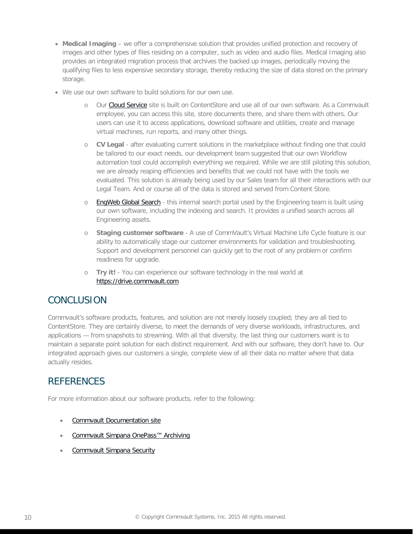- **Medical Imaging** we offer a comprehensive solution that provides unified protection and recovery of images and other types of files residing on a computer, such as video and audio files. Medical Imaging also provides an integrated migration process that archives the backed up images, periodically moving the qualifying files to less expensive secondary storage, thereby reducing the size of data stored on the primary storage.
- We use our own software to build solutions for our own use.
	- o Our [Cloud Service](https://cloud.commvault.com/) site is built on ContentStore and use all of our own software. As a Commvault employee, you can access this site, store documents there, and share them with others. Our users can use it to access applications, download software and utilities, create and manage virtual machines, run reports, and many other things.
	- o **CV Legal** after evaluating current solutions in the marketplace without finding one that could be tailored to our exact needs, our development team suggested that our own Workflow automation tool could accomplish everything we required. While we are still piloting this solution, we are already reaping efficiencies and benefits that we could not have with the tools we evaluated. This solution is already being used by our Sales team for all their interactions with our Legal Team. And or course all of the data is stored and served from Content Store.
	- o [EngWeb Global Search](http://engweb.gp.cv.commvault.com/search.php)  this internal search portal used by the Engineering team is built using our own software, including the indexing and search. It provides a unified search across all Engineering assets.
	- **Staging customer software** A use of CommVault's Virtual Machine Life Cycle feature is our ability to automatically stage our customer environments for validation and troubleshooting. Support and development personnel can quickly get to the root of any problem or confirm readiness for upgrade.
	- o **Try it!** You can experience our software technology in the real world at [https://drive.commvault.com](https://drive.commvault.com/)

## **CONCLUSION**

Commvault's software products, features, and solution are not merely loosely coupled; they are all tied to ContentStore. They are certainly diverse, to meet the demands of very diverse workloads, infrastructures, and applications — from snapshots to streaming. With all that diversity, the last thing our customers want is to maintain a separate point solution for each distinct requirement. And with our software, they don't have to. Our integrated approach gives our customers a single, complete view of all their data no matter where that data actually resides.

## **REFERENCES**

For more information about our software products, refer to the following:

- [Commvault Documentation site](http://documentation.commvault.com/commvault/)
- [Commvault Simpana OnePass™ Archiving](http://www.amazon.com/CommVault-Simpana-OnePass-Archiving-Dahlmeier/dp/1503089258/ref=sr_1_5?ie=UTF8&qid=1441384731&sr=8-5&keywords=commvault)
- [Commvault Simpana Security](http://www.amazon.com/CommVault-Simpana-Security-Understanding-Implementing/dp/1508765014/ref=sr_1_3?ie=UTF8&qid=1441384731&sr=8-3&keywords=commvault)